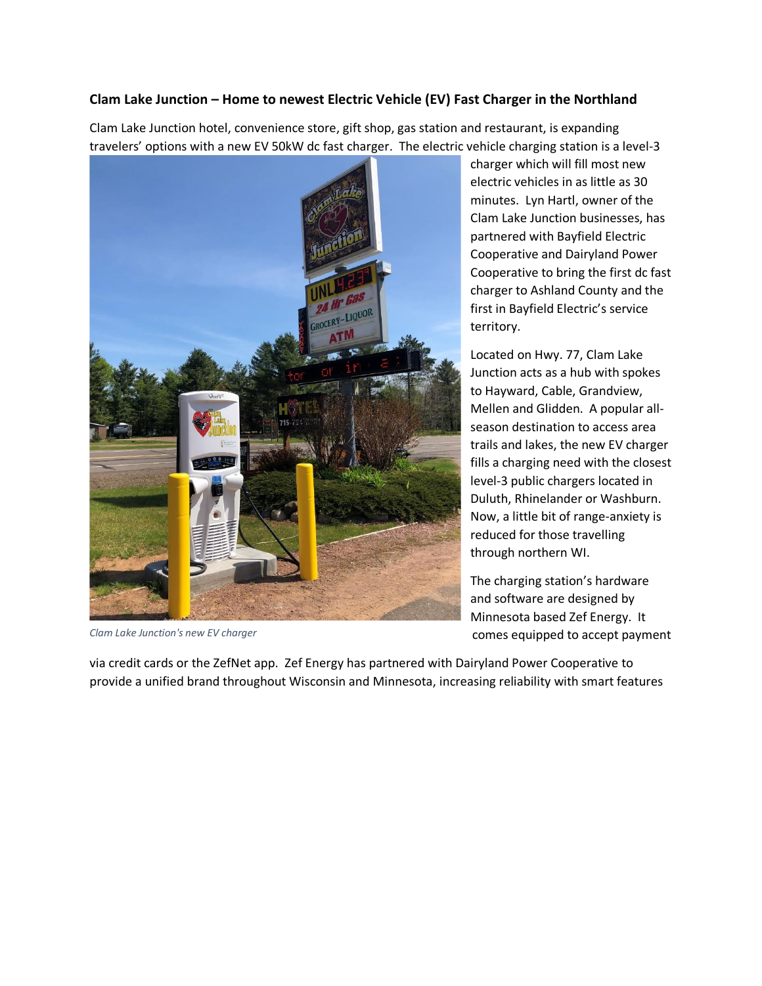## **Clam Lake Junction – Home to newest Electric Vehicle (EV) Fast Charger in the Northland**

Clam Lake Junction hotel, convenience store, gift shop, gas station and restaurant, is expanding travelers' options with a new EV 50kW dc fast charger. The electric vehicle charging station is a level-3



*Clam Lake Junction's new EV charger*

charger which will fill most new electric vehicles in as little as 30 minutes. Lyn Hartl, owner of the Clam Lake Junction businesses, has partnered with Bayfield Electric Cooperative and Dairyland Power Cooperative to bring the first dc fast charger to Ashland County and the first in Bayfield Electric's service territory.

Located on Hwy. 77, Clam Lake Junction acts as a hub with spokes to Hayward, Cable, Grandview, Mellen and Glidden. A popular allseason destination to access area trails and lakes, the new EV charger fills a charging need with the closest level-3 public chargers located in Duluth, Rhinelander or Washburn. Now, a little bit of range-anxiety is reduced for those travelling through northern WI.

The charging station's hardware and software are designed by Minnesota based Zef Energy. It comes equipped to accept payment

via credit cards or the ZefNet app. Zef Energy has partnered with Dairyland Power Cooperative to provide a unified brand throughout Wisconsin and Minnesota, increasing reliability with smart features